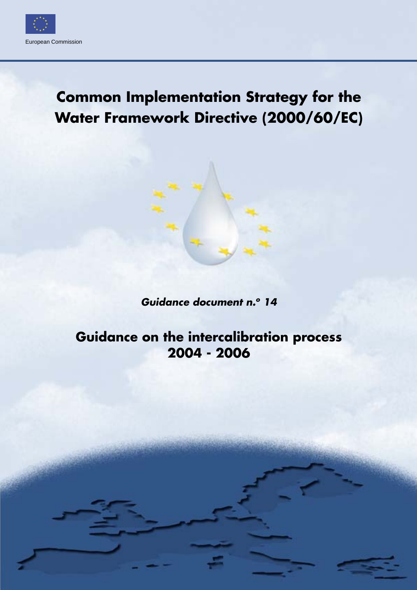

# **Common Implementation Strategy for the Water Framework Directive (2000/60/EC)**

*Guidance document n.o 14*

**Guidance on the intercalibration process 2004 - 2006**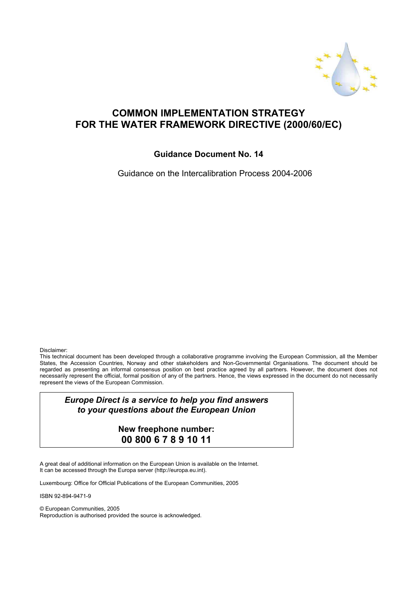

### **COMMON IMPLEMENTATION STRATEGY FOR THE WATER FRAMEWORK DIRECTIVE (2000/60/EC)**

#### **Guidance Document No. 14**

Guidance on the Intercalibration Process 2004-2006

Disclaimer:

This technical document has been developed through a collaborative programme involving the European Commission, all the Member States, the Accession Countries, Norway and other stakeholders and Non-Governmental Organisations. The document should be regarded as presenting an informal consensus position on best practice agreed by all partners. However, the document does not necessarily represent the official, formal position of any of the partners. Hence, the views expressed in the document do not necessarily represent the views of the European Commission.

*Europe Direct is a service to help you find answers to your questions about the European Union*

> **New freephone number: 00 800 6 7 8 9 10 11**

A great deal of additional information on the European Union is available on the Internet. It can be accessed through the Europa server (http://europa.eu.int).

Luxembourg: Office for Official Publications of the European Communities, 2005

ISBN 92-894-9471-9

© European Communities, 2005 Reproduction is authorised provided the source is acknowledged.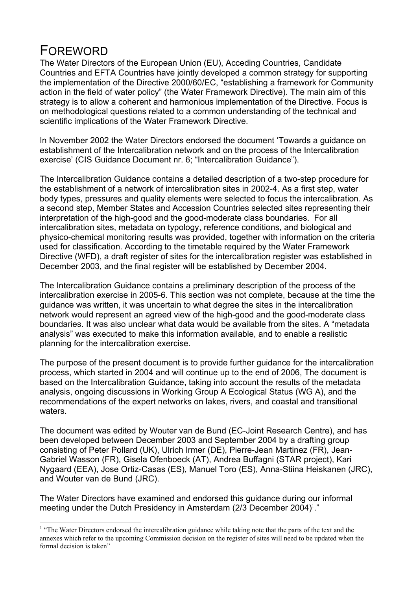### FOREWORD

 $\overline{a}$ 

The Water Directors of the European Union (EU), Acceding Countries, Candidate Countries and EFTA Countries have jointly developed a common strategy for supporting the implementation of the Directive 2000/60/EC, "establishing a framework for Community action in the field of water policy" (the Water Framework Directive). The main aim of this strategy is to allow a coherent and harmonious implementation of the Directive. Focus is on methodological questions related to a common understanding of the technical and scientific implications of the Water Framework Directive.

In November 2002 the Water Directors endorsed the document 'Towards a guidance on establishment of the Intercalibration network and on the process of the Intercalibration exercise' (CIS Guidance Document nr. 6; "Intercalibration Guidance").

The Intercalibration Guidance contains a detailed description of a two-step procedure for the establishment of a network of intercalibration sites in 2002-4. As a first step, water body types, pressures and quality elements were selected to focus the intercalibration. As a second step, Member States and Accession Countries selected sites representing their interpretation of the high-good and the good-moderate class boundaries. For all intercalibration sites, metadata on typology, reference conditions, and biological and physico-chemical monitoring results was provided, together with information on the criteria used for classification. According to the timetable required by the Water Framework Directive (WFD), a draft register of sites for the intercalibration register was established in December 2003, and the final register will be established by December 2004.

The Intercalibration Guidance contains a preliminary description of the process of the intercalibration exercise in 2005-6. This section was not complete, because at the time the guidance was written, it was uncertain to what degree the sites in the intercalibration network would represent an agreed view of the high-good and the good-moderate class boundaries. It was also unclear what data would be available from the sites. A "metadata analysis" was executed to make this information available, and to enable a realistic planning for the intercalibration exercise.

The purpose of the present document is to provide further guidance for the intercalibration process, which started in 2004 and will continue up to the end of 2006, The document is based on the Intercalibration Guidance, taking into account the results of the metadata analysis, ongoing discussions in Working Group A Ecological Status (WG A), and the recommendations of the expert networks on lakes, rivers, and coastal and transitional waters.

The document was edited by Wouter van de Bund (EC-Joint Research Centre), and has been developed between December 2003 and September 2004 by a drafting group consisting of Peter Pollard (UK), Ulrich Irmer (DE), Pierre-Jean Martinez (FR), Jean-Gabriel Wasson (FR), Gisela Ofenboeck (AT), Andrea Buffagni (STAR project), Kari Nygaard (EEA), Jose Ortiz-Casas (ES), Manuel Toro (ES), Anna-Stiina Heiskanen (JRC), and Wouter van de Bund (JRC).

The Water Directors have examined and endorsed this guidance during our informal meeting under the Dutch Presidency in Amsterdam (2/3 December 2004)<sup>1</sup>."

<sup>&</sup>lt;sup>1</sup> "The Water Directors endorsed the intercalibration guidance while taking note that the parts of the text and the annexes which refer to the upcoming Commission decision on the register of sites will need to be updated when the formal decision is taken"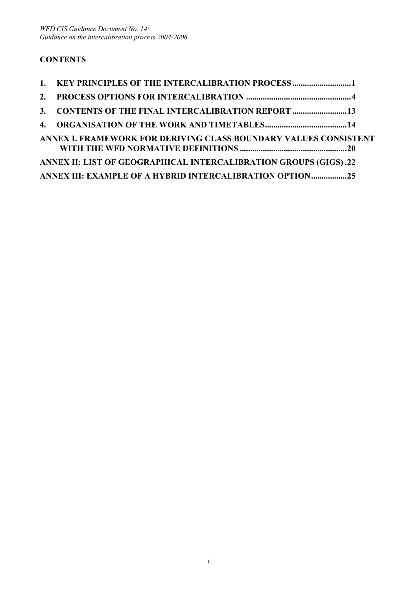### **CONTENTS**

| 1. KEY PRINCIPLES OF THE INTERCALIBRATION PROCESS1               |  |
|------------------------------------------------------------------|--|
|                                                                  |  |
| 3. CONTENTS OF THE FINAL INTERCALIBRATION REPORT 13              |  |
|                                                                  |  |
| ANNEX I. FRAMEWORK FOR DERIVING CLASS BOUNDARY VALUES CONSISTENT |  |
| ANNEX II: LIST OF GEOGRAPHICAL INTERCALIBRATION GROUPS (GIGS).22 |  |
| ANNEX III: EXAMPLE OF A HYBRID INTERCALIBRATION OPTION25         |  |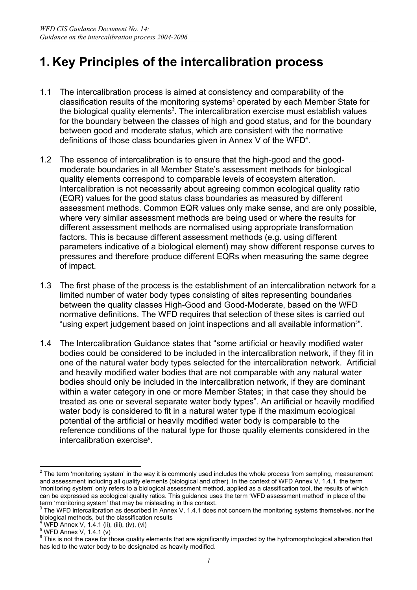## **1. Key Principles of the intercalibration process**

- 1.1 The intercalibration process is aimed at consistency and comparability of the classification results of the monitoring systems<sup>2</sup> operated by each Member State for the biological quality elements<sup>3</sup>. The intercalibration exercise must establish values for the boundary between the classes of high and good status, and for the boundary between good and moderate status, which are consistent with the normative definitions of those class boundaries given in Annex V of the WFD $4$ .
- 1.2 The essence of intercalibration is to ensure that the high-good and the goodmoderate boundaries in all Member State's assessment methods for biological quality elements correspond to comparable levels of ecosystem alteration. Intercalibration is not necessarily about agreeing common ecological quality ratio (EQR) values for the good status class boundaries as measured by different assessment methods. Common EQR values only make sense, and are only possible, where very similar assessment methods are being used or where the results for different assessment methods are normalised using appropriate transformation factors. This is because different assessment methods (e.g. using different parameters indicative of a biological element) may show different response curves to pressures and therefore produce different EQRs when measuring the same degree of impact.
- 1.3 The first phase of the process is the establishment of an intercalibration network for a limited number of water body types consisting of sites representing boundaries between the quality classes High-Good and Good-Moderate, based on the WFD normative definitions. The WFD requires that selection of these sites is carried out "using expert judgement based on joint inspections and all available information<sup>5"</sup>.
- 1.4 The Intercalibration Guidance states that "some artificial or heavily modified water bodies could be considered to be included in the intercalibration network, if they fit in one of the natural water body types selected for the intercalibration network. Artificial and heavily modified water bodies that are not comparable with any natural water bodies should only be included in the intercalibration network, if they are dominant within a water category in one or more Member States; in that case they should be treated as one or several separate water body types". An artificial or heavily modified water body is considered to fit in a natural water type if the maximum ecological potential of the artificial or heavily modified water body is comparable to the reference conditions of the natural type for those quality elements considered in the intercalibration exercise<sup>6</sup>.

 $2$  The term 'monitoring system' in the way it is commonly used includes the whole process from sampling, measurement and assessment including all quality elements (biological and other). In the context of WFD Annex V, 1.4.1, the term 'monitoring system' only refers to a biological assessment method, applied as a classification tool, the results of which can be expressed as ecological quality ratios. This guidance uses the term 'WFD assessment method' in place of the term 'monitoring system' that may be misleading in this context.

 $3$  The WFD intercalibration as described in Annex V, 1.4.1 does not concern the monitoring systems themselves, nor the biological methods, but the classification results

<sup>&</sup>lt;sup>4</sup> WFD Annex V, 1.4.1 (ii), (iii), (iv), (vi)

 $5$  WFD Annex V, 1.4.1 (v)

 $^6$  This is not the case for those quality elements that are significantly impacted by the hydromorphological alteration that has led to the water body to be designated as heavily modified.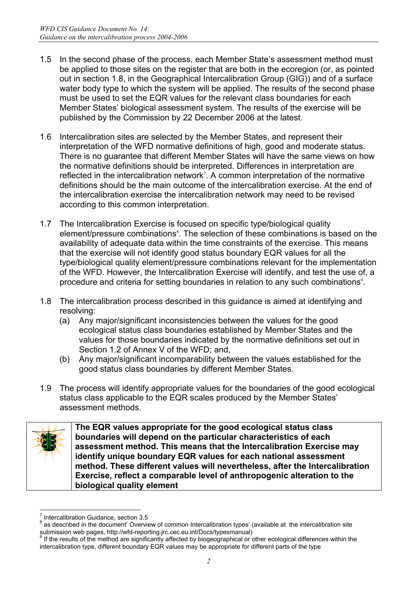- 1.5 In the second phase of the process, each Member State's assessment method must be applied to those sites on the register that are both in the ecoregion (or, as pointed out in section 1.8, in the Geographical Intercalibration Group (GIG)) and of a surface water body type to which the system will be applied. The results of the second phase must be used to set the EQR values for the relevant class boundaries for each Member States' biological assessment system. The results of the exercise will be published by the Commission by 22 December 2006 at the latest.
- 1.6 Intercalibration sites are selected by the Member States, and represent their interpretation of the WFD normative definitions of high, good and moderate status. There is no guarantee that different Member States will have the same views on how the normative definitions should be interpreted. Differences in interpretation are reflected in the intercalibration network<sup>7</sup>. A common interpretation of the normative definitions should be the main outcome of the intercalibration exercise. At the end of the intercalibration exercise the intercalibration network may need to be revised according to this common interpretation.
- 1.7 The Intercalibration Exercise is focused on specific type/biological quality element/pressure combinations<sup>8</sup>. The selection of these combinations is based on the availability of adequate data within the time constraints of the exercise. This means that the exercise will not identify good status boundary EQR values for all the type/biological quality element/pressure combinations relevant for the implementation of the WFD. However, the Intercalibration Exercise will identify, and test the use of, a procedure and criteria for setting boundaries in relation to any such combinations<sup>9</sup>.
- 1.8 The intercalibration process described in this guidance is aimed at identifying and resolving:
	- (a) Any major/significant inconsistencies between the values for the good ecological status class boundaries established by Member States and the values for those boundaries indicated by the normative definitions set out in Section 1.2 of Annex V of the WFD; and,
	- (b) Any major/significant incomparability between the values established for the good status class boundaries by different Member States.
- 1.9 The process will identify appropriate values for the boundaries of the good ecological status class applicable to the EQR scales produced by the Member States' assessment methods.



**The EQR values appropriate for the good ecological status class boundaries will depend on the particular characteristics of each assessment method. This means that the Intercalibration Exercise may identify unique boundary EQR values for each national assessment method. These different values will nevertheless, after the Intercalibration Exercise, reflect a comparable level of anthropogenic alteration to the biological quality element** 

 $\overline{a}$ 7 Intercalibration Guidance, section 3.5  $\frac{8}{3}$  as described in the document' Overview

as described in the document' Overview of common Intercalibration types' (available at the intercalibration site submission web pages, http://wfd-reporting.jrc.cec.eu.int/Docs/typesmanual)<br><sup>9</sup> If the resulte of the method are similar intervalsed intervalsed in the results of the method are similar in

If the results of the method are significantly affected by biogeographical or other ecological differences within the intercalibration type, different boundary EQR values may be appropriate for different parts of the type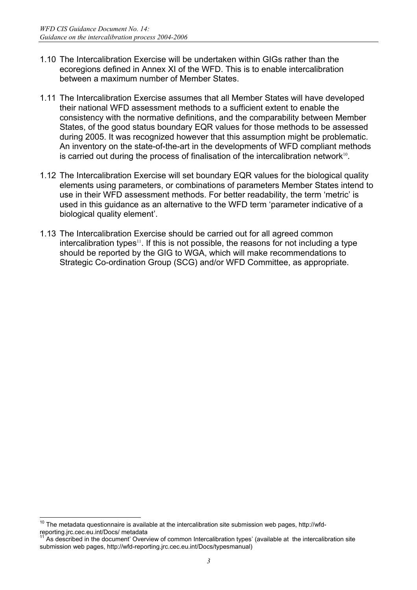- 1.10 The Intercalibration Exercise will be undertaken within GIGs rather than the ecoregions defined in Annex XI of the WFD. This is to enable intercalibration between a maximum number of Member States.
- 1.11 The Intercalibration Exercise assumes that all Member States will have developed their national WFD assessment methods to a sufficient extent to enable the consistency with the normative definitions, and the comparability between Member States, of the good status boundary EQR values for those methods to be assessed during 2005. It was recognized however that this assumption might be problematic. An inventory on the state-of-the-art in the developments of WFD compliant methods is carried out during the process of finalisation of the intercalibration network $10$ .
- 1.12 The Intercalibration Exercise will set boundary EQR values for the biological quality elements using parameters, or combinations of parameters Member States intend to use in their WFD assessment methods. For better readability, the term 'metric' is used in this guidance as an alternative to the WFD term 'parameter indicative of a biological quality element'.
- 1.13 The Intercalibration Exercise should be carried out for all agreed common  $intercalibration$  types<sup>11</sup>. If this is not possible, the reasons for not including a type should be reported by the GIG to WGA, which will make recommendations to Strategic Co-ordination Group (SCG) and/or WFD Committee, as appropriate.

 $\overline{a}$  $10$  The metadata questionnaire is available at the intercalibration site submission web pages, http://wfdreporting.jrc.cec.eu.int/Docs/ metadata<br><sup>11</sup> As described in the document' Overview of common Intercalibration types' (available at the intercalibration site

submission web pages, http://wfd-reporting.jrc.cec.eu.int/Docs/typesmanual)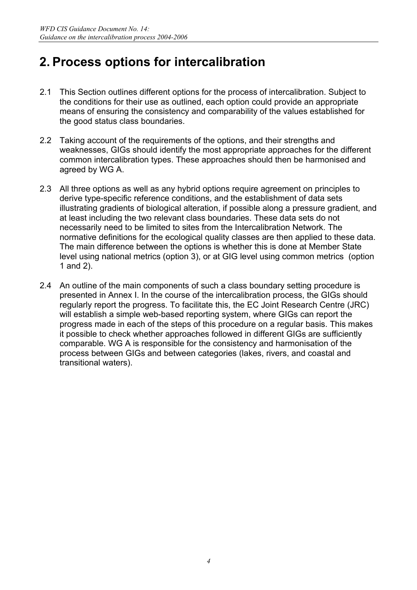## **2. Process options for intercalibration**

- 2.1 This Section outlines different options for the process of intercalibration. Subject to the conditions for their use as outlined, each option could provide an appropriate means of ensuring the consistency and comparability of the values established for the good status class boundaries.
- 2.2 Taking account of the requirements of the options, and their strengths and weaknesses, GIGs should identify the most appropriate approaches for the different common intercalibration types. These approaches should then be harmonised and agreed by WG A.
- 2.3 All three options as well as any hybrid options require agreement on principles to derive type-specific reference conditions, and the establishment of data sets illustrating gradients of biological alteration, if possible along a pressure gradient, and at least including the two relevant class boundaries. These data sets do not necessarily need to be limited to sites from the Intercalibration Network. The normative definitions for the ecological quality classes are then applied to these data. The main difference between the options is whether this is done at Member State level using national metrics (option 3), or at GIG level using common metrics (option 1 and 2).
- 2.4 An outline of the main components of such a class boundary setting procedure is presented in Annex I. In the course of the intercalibration process, the GIGs should regularly report the progress. To facilitate this, the EC Joint Research Centre (JRC) will establish a simple web-based reporting system, where GIGs can report the progress made in each of the steps of this procedure on a regular basis. This makes it possible to check whether approaches followed in different GIGs are sufficiently comparable. WG A is responsible for the consistency and harmonisation of the process between GIGs and between categories (lakes, rivers, and coastal and transitional waters).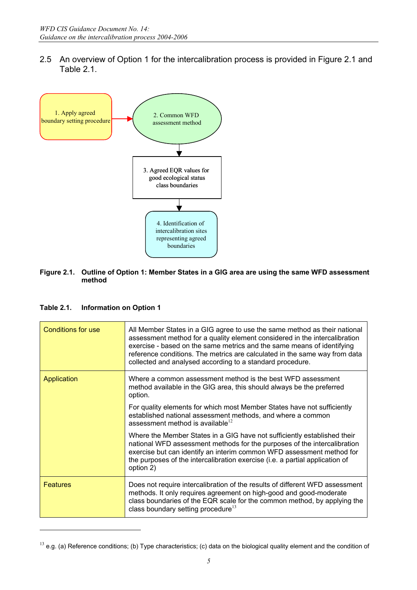2.5 An overview of Option 1 for the intercalibration process is provided in Figure 2.1 and Table 2.1.



#### **Figure 2.1. Outline of Option 1: Member States in a GIG area are using the same WFD assessment method**

#### **Table 2.1. Information on Option 1**

| Conditions for use | All Member States in a GIG agree to use the same method as their national<br>assessment method for a quality element considered in the intercalibration<br>exercise - based on the same metrics and the same means of identifying<br>reference conditions. The metrics are calculated in the same way from data<br>collected and analysed according to a standard procedure. |
|--------------------|------------------------------------------------------------------------------------------------------------------------------------------------------------------------------------------------------------------------------------------------------------------------------------------------------------------------------------------------------------------------------|
| Application        | Where a common assessment method is the best WFD assessment<br>method available in the GIG area, this should always be the preferred<br>option.                                                                                                                                                                                                                              |
|                    | For quality elements for which most Member States have not sufficiently<br>established national assessment methods, and where a common<br>assessment method is available $^{12}$                                                                                                                                                                                             |
|                    | Where the Member States in a GIG have not sufficiently established their<br>national WFD assessment methods for the purposes of the intercalibration<br>exercise but can identify an interim common WFD assessment method for<br>the purposes of the intercalibration exercise (i.e. a partial application of<br>option 2)                                                   |
| <b>Features</b>    | Does not require intercalibration of the results of different WFD assessment<br>methods. It only requires agreement on high-good and good-moderate<br>class boundaries of the EQR scale for the common method, by applying the<br>class boundary setting procedure <sup>13</sup>                                                                                             |

 $13$  e.g. (a) Reference conditions; (b) Type characteristics; (c) data on the biological quality element and the condition of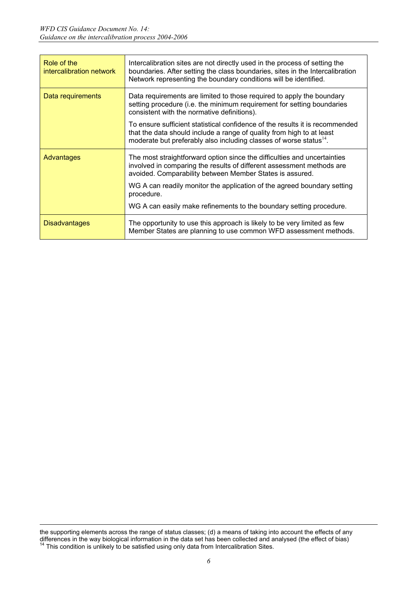| Role of the<br>intercalibration network | Intercalibration sites are not directly used in the process of setting the<br>boundaries. After setting the class boundaries, sites in the Intercalibration<br>Network representing the boundary conditions will be identified.         |
|-----------------------------------------|-----------------------------------------------------------------------------------------------------------------------------------------------------------------------------------------------------------------------------------------|
| Data requirements                       | Data requirements are limited to those required to apply the boundary<br>setting procedure (i.e. the minimum requirement for setting boundaries<br>consistent with the normative definitions).                                          |
|                                         | To ensure sufficient statistical confidence of the results it is recommended<br>that the data should include a range of quality from high to at least<br>moderate but preferably also including classes of worse status <sup>14</sup> . |
| Advantages                              | The most straightforward option since the difficulties and uncertainties<br>involved in comparing the results of different assessment methods are<br>avoided. Comparability between Member States is assured.                           |
|                                         | WG A can readily monitor the application of the agreed boundary setting<br>procedure.                                                                                                                                                   |
|                                         | WG A can easily make refinements to the boundary setting procedure.                                                                                                                                                                     |
| <b>Disadvantages</b>                    | The opportunity to use this approach is likely to be very limited as few<br>Member States are planning to use common WFD assessment methods.                                                                                            |

the supporting elements across the range of status classes; (d) a means of taking into account the effects of any differences in the way biological information in the data set has been collected and analysed (the effect of bias) <sup>14</sup> This condition is unlikely to be satisfied using only data from Intercalibration Sites.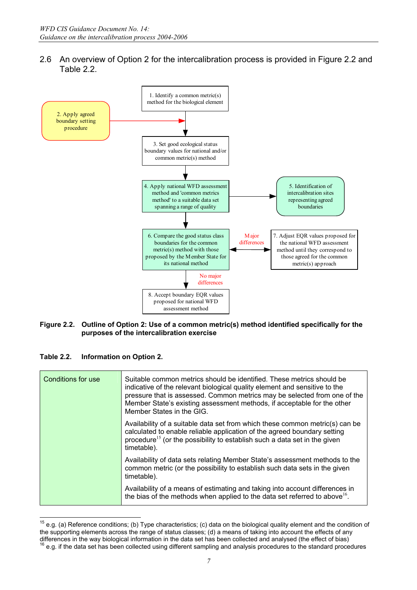2.6 An overview of Option 2 for the intercalibration process is provided in Figure 2.2 and Table 2.2.



#### **Figure 2.2. Outline of Option 2: Use of a common metric(s) method identified specifically for the purposes of the intercalibration exercise**

| <b>Table 2.2.</b> | Information on Option 2. |
|-------------------|--------------------------|
|-------------------|--------------------------|

| Conditions for use | Suitable common metrics should be identified. These metrics should be<br>indicative of the relevant biological quality element and sensitive to the<br>pressure that is assessed. Common metrics may be selected from one of the<br>Member State's existing assessment methods, if acceptable for the other<br>Member States in the GIG. |
|--------------------|------------------------------------------------------------------------------------------------------------------------------------------------------------------------------------------------------------------------------------------------------------------------------------------------------------------------------------------|
|                    | Availability of a suitable data set from which these common metric(s) can be<br>calculated to enable reliable application of the agreed boundary setting<br>procedure <sup>15</sup> (or the possibility to establish such a data set in the given<br>timetable).                                                                         |
|                    | Availability of data sets relating Member State's assessment methods to the<br>common metric (or the possibility to establish such data sets in the given<br>timetable).                                                                                                                                                                 |
|                    | Availability of a means of estimating and taking into account differences in<br>the bias of the methods when applied to the data set referred to above <sup>16</sup> .                                                                                                                                                                   |

 $15$  e.g. (a) Reference conditions; (b) Type characteristics; (c) data on the biological quality element and the condition of the supporting elements across the range of status classes; (d) a means of taking into account the effects of any differences in the way biological information in the data set has been collected and analysed (the effect of  $16$  e.g. if the data set has been collected using different sampling and analysis procedures to the standard procedures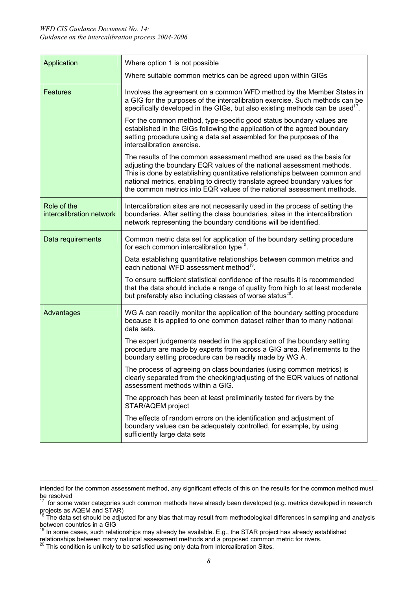| Application                             | Where option 1 is not possible                                                                                                                                                                                                                                                                                                                                                        |
|-----------------------------------------|---------------------------------------------------------------------------------------------------------------------------------------------------------------------------------------------------------------------------------------------------------------------------------------------------------------------------------------------------------------------------------------|
|                                         | Where suitable common metrics can be agreed upon within GIGs                                                                                                                                                                                                                                                                                                                          |
| <b>Features</b>                         | Involves the agreement on a common WFD method by the Member States in<br>a GIG for the purposes of the intercalibration exercise. Such methods can be<br>specifically developed in the GIGs, but also existing methods can be used <sup>17</sup> .                                                                                                                                    |
|                                         | For the common method, type-specific good status boundary values are<br>established in the GIGs following the application of the agreed boundary<br>setting procedure using a data set assembled for the purposes of the<br>intercalibration exercise.                                                                                                                                |
|                                         | The results of the common assessment method are used as the basis for<br>adjusting the boundary EQR values of the national assessment methods.<br>This is done by establishing quantitative relationships between common and<br>national metrics, enabling to directly translate agreed boundary values for<br>the common metrics into EQR values of the national assessment methods. |
| Role of the<br>intercalibration network | Intercalibration sites are not necessarily used in the process of setting the<br>boundaries. After setting the class boundaries, sites in the intercalibration<br>network representing the boundary conditions will be identified.                                                                                                                                                    |
| Data requirements                       | Common metric data set for application of the boundary setting procedure<br>for each common intercalibration type <sup>18</sup> .                                                                                                                                                                                                                                                     |
|                                         | Data establishing quantitative relationships between common metrics and<br>each national WFD assessment method <sup>19</sup> .                                                                                                                                                                                                                                                        |
|                                         | To ensure sufficient statistical confidence of the results it is recommended<br>that the data should include a range of quality from high to at least moderate<br>but preferably also including classes of worse status <sup>20</sup> .                                                                                                                                               |
| Advantages                              | WG A can readily monitor the application of the boundary setting procedure<br>because it is applied to one common dataset rather than to many national<br>data sets.                                                                                                                                                                                                                  |
|                                         | The expert judgements needed in the application of the boundary setting<br>procedure are made by experts from across a GIG area. Refinements to the<br>boundary setting procedure can be readily made by WG A.                                                                                                                                                                        |
|                                         | The process of agreeing on class boundaries (using common metrics) is<br>clearly separated from the checking/adjusting of the EQR values of national<br>assessment methods within a GIG.                                                                                                                                                                                              |
|                                         | The approach has been at least preliminarily tested for rivers by the<br>STAR/AQEM project                                                                                                                                                                                                                                                                                            |
|                                         | The effects of random errors on the identification and adjustment of<br>boundary values can be adequately controlled, for example, by using<br>sufficiently large data sets                                                                                                                                                                                                           |

intended for the common assessment method, any significant effects of this on the results for the common method must be resolved

<sup>17</sup> for some water categories such common methods have already been developed (e.g. metrics developed in research projects as AQEM and STAR)

<sup>&</sup>lt;sup>18</sup> The data set should be adjusted for any bias that may result from methodological differences in sampling and analysis between countries in a GIG

 $19$  In some cases, such relationships may already be available. E.g., the STAR project has already established

relationships between many national assessment methods and a proposed common metric for rivers.

 $^{20}$  This condition is unlikely to be satisfied using only data from Intercalibration Sites.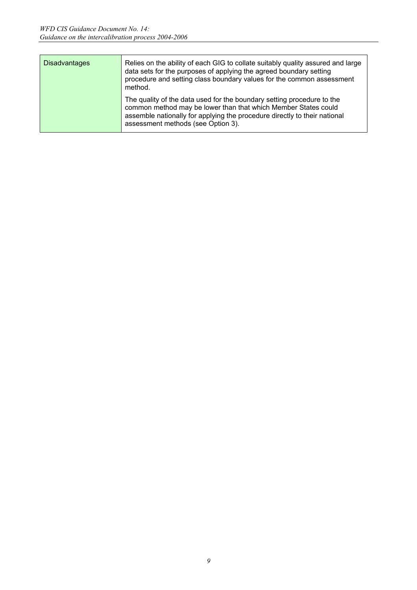| <b>Disadvantages</b> | Relies on the ability of each GIG to collate suitably quality assured and large<br>data sets for the purposes of applying the agreed boundary setting<br>procedure and setting class boundary values for the common assessment<br>method.                   |
|----------------------|-------------------------------------------------------------------------------------------------------------------------------------------------------------------------------------------------------------------------------------------------------------|
|                      | The quality of the data used for the boundary setting procedure to the<br>common method may be lower than that which Member States could<br>assemble nationally for applying the procedure directly to their national<br>assessment methods (see Option 3). |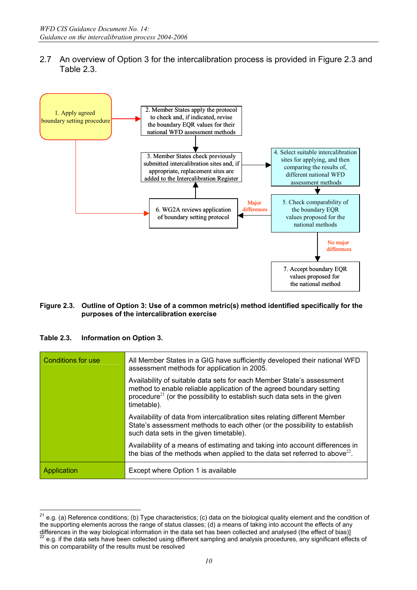2.7 An overview of Option 3 for the intercalibration process is provided in Figure 2.3 and Table 2.3.



#### **Figure 2.3. Outline of Option 3: Use of a common metric(s) method identified specifically for the purposes of the intercalibration exercise**

**Table 2.3. Information on Option 3.** 

| <b>Conditions for use</b> | All Member States in a GIG have sufficiently developed their national WFD<br>assessment methods for application in 2005.                                                                                                                             |
|---------------------------|------------------------------------------------------------------------------------------------------------------------------------------------------------------------------------------------------------------------------------------------------|
|                           | Availability of suitable data sets for each Member State's assessment<br>method to enable reliable application of the agreed boundary setting<br>procedure <sup>21</sup> (or the possibility to establish such data sets in the given<br>timetable). |
|                           | Availability of data from intercalibration sites relating different Member<br>State's assessment methods to each other (or the possibility to establish<br>such data sets in the given timetable).                                                   |
|                           | Availability of a means of estimating and taking into account differences in<br>the bias of the methods when applied to the data set referred to above <sup>22</sup> .                                                                               |
| Application               | Except where Option 1 is available                                                                                                                                                                                                                   |

 $21$ 21 e.g. (a) Reference conditions; (b) Type characteristics; (c) data on the biological quality element and the condition of the supporting elements across the range of status classes; (d) a means of taking into account the effects of any differences in the way biological information in the data set has been collected and analysed (the effect of bias)]<br><sup>22</sup> e.g. if the data sets have been collected using different sampling and analysis procedures, any signi this on comparability of the results must be resolved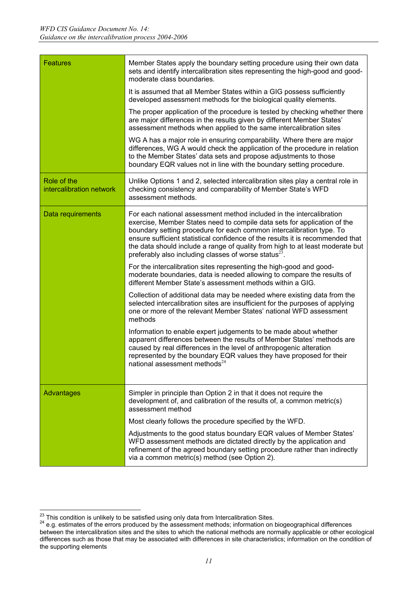| <b>Features</b>                         | Member States apply the boundary setting procedure using their own data<br>sets and identify intercalibration sites representing the high-good and good-<br>moderate class boundaries.                                                                                                                                                                                                                                                                     |
|-----------------------------------------|------------------------------------------------------------------------------------------------------------------------------------------------------------------------------------------------------------------------------------------------------------------------------------------------------------------------------------------------------------------------------------------------------------------------------------------------------------|
|                                         | It is assumed that all Member States within a GIG possess sufficiently<br>developed assessment methods for the biological quality elements.                                                                                                                                                                                                                                                                                                                |
|                                         | The proper application of the procedure is tested by checking whether there<br>are major differences in the results given by different Member States'<br>assessment methods when applied to the same intercalibration sites                                                                                                                                                                                                                                |
|                                         | WG A has a major role in ensuring comparability. Where there are major<br>differences, WG A would check the application of the procedure in relation<br>to the Member States' data sets and propose adjustments to those<br>boundary EQR values not in line with the boundary setting procedure.                                                                                                                                                           |
| Role of the<br>intercalibration network | Unlike Options 1 and 2, selected intercalibration sites play a central role in<br>checking consistency and comparability of Member State's WFD<br>assessment methods.                                                                                                                                                                                                                                                                                      |
| Data requirements                       | For each national assessment method included in the intercalibration<br>exercise, Member States need to compile data sets for application of the<br>boundary setting procedure for each common intercalibration type. To<br>ensure sufficient statistical confidence of the results it is recommended that<br>the data should include a range of quality from high to at least moderate but<br>preferably also including classes of worse status $^{23}$ . |
|                                         | For the intercalibration sites representing the high-good and good-<br>moderate boundaries, data is needed allowing to compare the results of<br>different Member State's assessment methods within a GIG.                                                                                                                                                                                                                                                 |
|                                         | Collection of additional data may be needed where existing data from the<br>selected intercalibration sites are insufficient for the purposes of applying<br>one or more of the relevant Member States' national WFD assessment<br>methods                                                                                                                                                                                                                 |
|                                         | Information to enable expert judgements to be made about whether<br>apparent differences between the results of Member States' methods are<br>caused by real differences in the level of anthropogenic alteration<br>represented by the boundary EQR values they have proposed for their<br>national assessment methods <sup>24</sup>                                                                                                                      |
| Advantages                              | Simpler in principle than Option 2 in that it does not require the<br>development of, and calibration of the results of, a common metric(s)<br>assessment method                                                                                                                                                                                                                                                                                           |
|                                         | Most clearly follows the procedure specified by the WFD.                                                                                                                                                                                                                                                                                                                                                                                                   |
|                                         | Adjustments to the good status boundary EQR values of Member States'<br>WFD assessment methods are dictated directly by the application and<br>refinement of the agreed boundary setting procedure rather than indirectly<br>via a common metric(s) method (see Option 2).                                                                                                                                                                                 |

 $\overline{a}$  $^{23}$  This condition is unlikely to be satisfied using only data from Intercalibration Sites.<br><sup>24</sup> e.g. estimates of the errors produced by the assessment methods; information on biogeographical differences

between the intercalibration sites and the sites to which the national methods are normally applicable or other ecological differences such as those that may be associated with differences in site characteristics; information on the condition of the supporting elements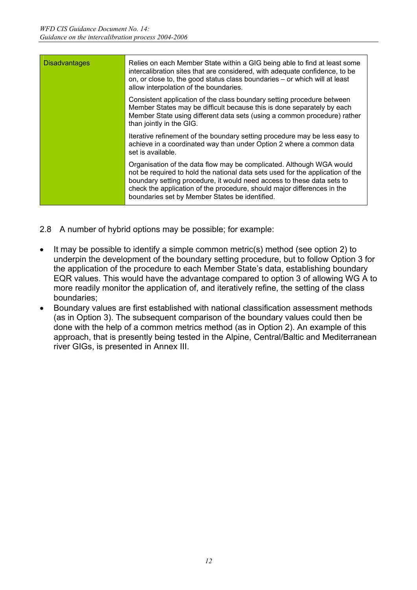| <b>Disadvantages</b> | Relies on each Member State within a GIG being able to find at least some<br>intercalibration sites that are considered, with adequate confidence, to be<br>on, or close to, the good status class boundaries - or which will at least<br>allow interpolation of the boundaries.                                                                              |
|----------------------|---------------------------------------------------------------------------------------------------------------------------------------------------------------------------------------------------------------------------------------------------------------------------------------------------------------------------------------------------------------|
|                      | Consistent application of the class boundary setting procedure between<br>Member States may be difficult because this is done separately by each<br>Member State using different data sets (using a common procedure) rather<br>than jointly in the GIG.                                                                                                      |
|                      | Iterative refinement of the boundary setting procedure may be less easy to<br>achieve in a coordinated way than under Option 2 where a common data<br>set is available.                                                                                                                                                                                       |
|                      | Organisation of the data flow may be complicated. Although WGA would<br>not be required to hold the national data sets used for the application of the<br>boundary setting procedure, it would need access to these data sets to<br>check the application of the procedure, should major differences in the<br>boundaries set by Member States be identified. |

- 2.8 A number of hybrid options may be possible; for example:
- It may be possible to identify a simple common metric(s) method (see option 2) to underpin the development of the boundary setting procedure, but to follow Option 3 for the application of the procedure to each Member State's data, establishing boundary EQR values. This would have the advantage compared to option 3 of allowing WG A to more readily monitor the application of, and iteratively refine, the setting of the class boundaries;
- Boundary values are first established with national classification assessment methods (as in Option 3). The subsequent comparison of the boundary values could then be done with the help of a common metrics method (as in Option 2). An example of this approach, that is presently being tested in the Alpine, Central/Baltic and Mediterranean river GIGs, is presented in Annex III.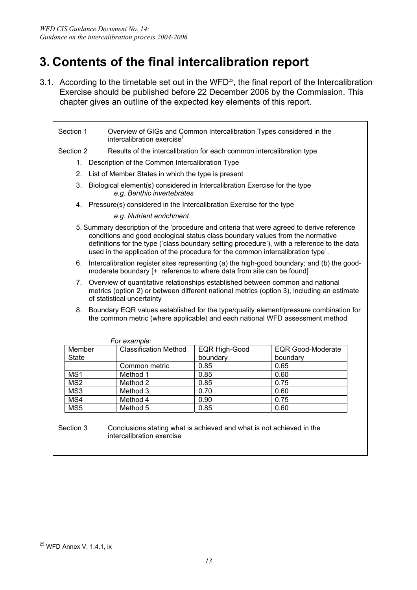## **3. Contents of the final intercalibration report**

3.1. According to the timetable set out in the WFD<sup>25</sup>, the final report of the Intercalibration Exercise should be published before 22 December 2006 by the Commission. This chapter gives an outline of the expected key elements of this report.

| Section 1                                                                                                      | intercalibration exercise <sup>1</sup>                                                                                                                                                                                                                                                                                                                                      | Overview of GIGs and Common Intercalibration Types considered in the  |                          |  |  |  |  |  |  |  |  |  |
|----------------------------------------------------------------------------------------------------------------|-----------------------------------------------------------------------------------------------------------------------------------------------------------------------------------------------------------------------------------------------------------------------------------------------------------------------------------------------------------------------------|-----------------------------------------------------------------------|--------------------------|--|--|--|--|--|--|--|--|--|
| Section 2                                                                                                      |                                                                                                                                                                                                                                                                                                                                                                             | Results of the intercalibration for each common intercalibration type |                          |  |  |  |  |  |  |  |  |  |
|                                                                                                                | 1. Description of the Common Intercalibration Type                                                                                                                                                                                                                                                                                                                          |                                                                       |                          |  |  |  |  |  |  |  |  |  |
| 2.                                                                                                             | List of Member States in which the type is present                                                                                                                                                                                                                                                                                                                          |                                                                       |                          |  |  |  |  |  |  |  |  |  |
| Biological element(s) considered in Intercalibration Exercise for the type<br>3.<br>e.g. Benthic invertebrates |                                                                                                                                                                                                                                                                                                                                                                             |                                                                       |                          |  |  |  |  |  |  |  |  |  |
| 4. Pressure(s) considered in the Intercalibration Exercise for the type                                        |                                                                                                                                                                                                                                                                                                                                                                             |                                                                       |                          |  |  |  |  |  |  |  |  |  |
|                                                                                                                | e.g. Nutrient enrichment                                                                                                                                                                                                                                                                                                                                                    |                                                                       |                          |  |  |  |  |  |  |  |  |  |
|                                                                                                                | 5. Summary description of the 'procedure and criteria that were agreed to derive reference<br>conditions and good ecological status class boundary values from the normative<br>definitions for the type ('class boundary setting procedure'), with a reference to the data<br>used in the application of the procedure for the common intercalibration type <sup>1</sup> . |                                                                       |                          |  |  |  |  |  |  |  |  |  |
| 6.                                                                                                             | Intercalibration register sites representing (a) the high-good boundary; and (b) the good-<br>moderate boundary [+ reference to where data from site can be found]                                                                                                                                                                                                          |                                                                       |                          |  |  |  |  |  |  |  |  |  |
| 7.                                                                                                             | Overview of quantitative relationships established between common and national<br>metrics (option 2) or between different national metrics (option 3), including an estimate<br>of statistical uncertainty                                                                                                                                                                  |                                                                       |                          |  |  |  |  |  |  |  |  |  |
|                                                                                                                | 8. Boundary EQR values established for the type/quality element/pressure combination for<br>the common metric (where applicable) and each national WFD assessment method                                                                                                                                                                                                    |                                                                       |                          |  |  |  |  |  |  |  |  |  |
|                                                                                                                | For example:                                                                                                                                                                                                                                                                                                                                                                |                                                                       |                          |  |  |  |  |  |  |  |  |  |
| Member                                                                                                         | <b>Classification Method</b>                                                                                                                                                                                                                                                                                                                                                | <b>EQR High-Good</b>                                                  | <b>EQR Good-Moderate</b> |  |  |  |  |  |  |  |  |  |
| <b>State</b>                                                                                                   |                                                                                                                                                                                                                                                                                                                                                                             | boundary                                                              | boundary                 |  |  |  |  |  |  |  |  |  |
|                                                                                                                | Common metric                                                                                                                                                                                                                                                                                                                                                               | 0.85                                                                  | 0.65                     |  |  |  |  |  |  |  |  |  |
| MS1                                                                                                            | Method 1                                                                                                                                                                                                                                                                                                                                                                    | 0.85                                                                  | 0.60                     |  |  |  |  |  |  |  |  |  |
| MS <sub>2</sub>                                                                                                | Method 2                                                                                                                                                                                                                                                                                                                                                                    | 0.85                                                                  | 0.75                     |  |  |  |  |  |  |  |  |  |
| MS3                                                                                                            | Method 3                                                                                                                                                                                                                                                                                                                                                                    | 0.70<br>0.60                                                          |                          |  |  |  |  |  |  |  |  |  |
| MS4                                                                                                            | Method 4                                                                                                                                                                                                                                                                                                                                                                    | 0.90<br>0.75                                                          |                          |  |  |  |  |  |  |  |  |  |
| MS5                                                                                                            | Method 5                                                                                                                                                                                                                                                                                                                                                                    | 0.85                                                                  | 0.60                     |  |  |  |  |  |  |  |  |  |
| Section 3                                                                                                      | Conclusions stating what is achieved and what is not achieved in the<br>intercalibration exercise                                                                                                                                                                                                                                                                           |                                                                       |                          |  |  |  |  |  |  |  |  |  |

<sup>&</sup>lt;sup>25</sup> WFD Annex V, 1.4.1, ix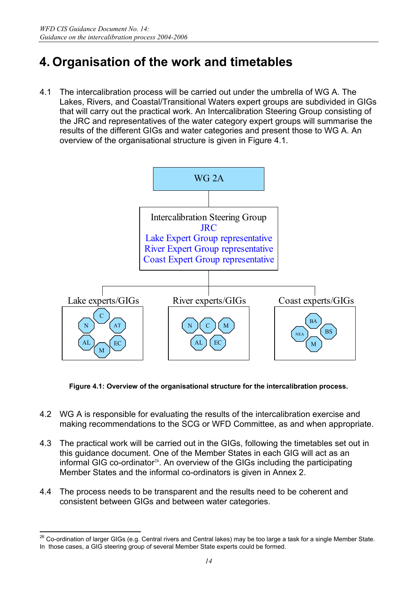## **4. Organisation of the work and timetables**

4.1 The intercalibration process will be carried out under the umbrella of WG A. The Lakes, Rivers, and Coastal/Transitional Waters expert groups are subdivided in GIGs that will carry out the practical work. An Intercalibration Steering Group consisting of the JRC and representatives of the water category expert groups will summarise the results of the different GIGs and water categories and present those to WG A. An overview of the organisational structure is given in Figure 4.1.



**Figure 4.1: Overview of the organisational structure for the intercalibration process.** 

- 4.2 WG A is responsible for evaluating the results of the intercalibration exercise and making recommendations to the SCG or WFD Committee, as and when appropriate.
- 4.3 The practical work will be carried out in the GIGs, following the timetables set out in this guidance document. One of the Member States in each GIG will act as an informal GIG co-ordinator<sup>26</sup>. An overview of the GIGs including the participating Member States and the informal co-ordinators is given in Annex 2.
- 4.4 The process needs to be transparent and the results need to be coherent and consistent between GIGs and between water categories.

 $^{26}$  Co-ordination of larger GIGs (e.g. Central rivers and Central lakes) may be too large a task for a single Member State. In those cases, a GIG steering group of several Member State experts could be formed.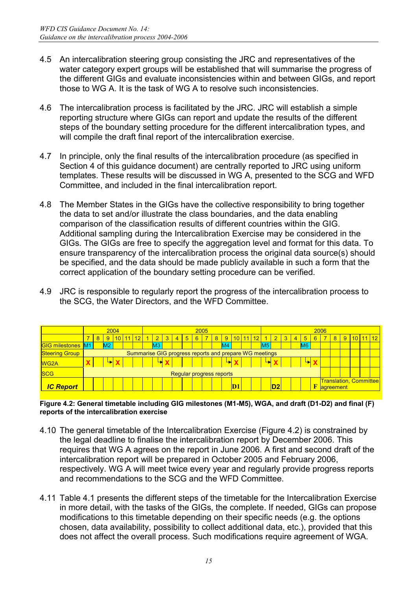- 4.5 An intercalibration steering group consisting the JRC and representatives of the water category expert groups will be established that will summarise the progress of the different GIGs and evaluate inconsistencies within and between GIGs, and report those to WG A. It is the task of WG A to resolve such inconsistencies.
- 4.6 The intercalibration process is facilitated by the JRC. JRC will establish a simple reporting structure where GIGs can report and update the results of the different steps of the boundary setting procedure for the different intercalibration types, and will compile the draft final report of the intercalibration exercise.
- 4.7 In principle, only the final results of the intercalibration procedure (as specified in Section 4 of this guidance document) are centrally reported to JRC using uniform templates. These results will be discussed in WG A, presented to the SCG and WFD Committee, and included in the final intercalibration report.
- 4.8 The Member States in the GIGs have the collective responsibility to bring together the data to set and/or illustrate the class boundaries, and the data enabling comparison of the classification results of different countries within the GIG. Additional sampling during the Intercalibration Exercise may be considered in the GIGs. The GIGs are free to specify the aggregation level and format for this data. To ensure transparency of the intercalibration process the original data source(s) should be specified, and the data should be made publicly available in such a form that the correct application of the boundary setting procedure can be verified.
- 4.9 JRC is responsible to regularly report the progress of the intercalibration process to the SCG, the Water Directors, and the WFD Committee.

|                          | 2004<br>2005<br>2006                                   |                      |             |                 |       |    |  |                |  |               |                          |                |  |                |                                            |  |                 |    |                |                |                |   |  |   |       |  |  |          |
|--------------------------|--------------------------------------------------------|----------------------|-------------|-----------------|-------|----|--|----------------|--|---------------|--------------------------|----------------|--|----------------|--------------------------------------------|--|-----------------|----|----------------|----------------|----------------|---|--|---|-------|--|--|----------|
|                          |                                                        | 8 <sup>°</sup>       | $9^{\circ}$ | 10 <sup>1</sup> | $-11$ | 12 |  |                |  | $\frac{4}{7}$ | 5 <sup>5</sup>           | 6 <sub>1</sub> |  | 8 <sup>1</sup> | $9^{\circ}$                                |  | <u>10 11 12</u> |    | 3 <sup>1</sup> | $\overline{4}$ | 5              | 6 |  | 8 | $9 -$ |  |  | 10 11 12 |
| <b>GIG milestones M1</b> |                                                        |                      | M2          |                 |       |    |  | M <sub>3</sub> |  |               |                          |                |  |                |                                            |  |                 | M5 |                |                | M <sub>6</sub> |   |  |   |       |  |  |          |
| <b>Steering Group</b>    | Summarise GIG progress reports and prepare WG meetings |                      |             |                 |       |    |  |                |  |               |                          |                |  |                |                                            |  |                 |    |                |                |                |   |  |   |       |  |  |          |
| <b>WG2A</b>              | L.<br>↳                                                |                      |             |                 |       |    |  |                |  |               |                          |                |  |                |                                            |  |                 |    |                |                |                |   |  |   |       |  |  |          |
| <b>SCG</b>               |                                                        |                      |             |                 |       |    |  |                |  |               | Regular progress reports |                |  |                |                                            |  |                 |    |                |                |                |   |  |   |       |  |  |          |
| <b>IC Report</b>         |                                                        | D <sub>2</sub><br>D1 |             |                 |       |    |  |                |  |               |                          |                |  | F              | <b>Translation, Committee</b><br>agreement |  |                 |    |                |                |                |   |  |   |       |  |  |          |

**Figure 4.2: General timetable including GIG milestones (M1-M5), WGA, and draft (D1-D2) and final (F) reports of the intercalibration exercise** 

- 4.10 The general timetable of the Intercalibration Exercise (Figure 4.2) is constrained by the legal deadline to finalise the intercalibration report by December 2006. This requires that WG A agrees on the report in June 2006. A first and second draft of the intercalibration report will be prepared in October 2005 and February 2006, respectively. WG A will meet twice every year and regularly provide progress reports and recommendations to the SCG and the WFD Committee.
- 4.11 Table 4.1 presents the different steps of the timetable for the Intercalibration Exercise in more detail, with the tasks of the GIGs, the complete. If needed, GIGs can propose modifications to this timetable depending on their specific needs (e.g. the options chosen, data availability, possibility to collect additional data, etc.), provided that this does not affect the overall process. Such modifications require agreement of WGA.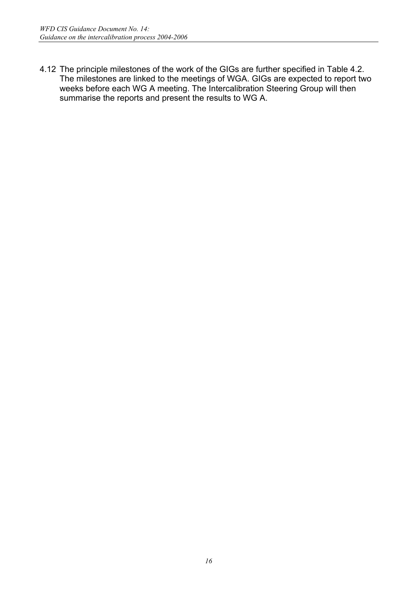4.12 The principle milestones of the work of the GIGs are further specified in Table 4.2. The milestones are linked to the meetings of WGA. GIGs are expected to report two weeks before each WG A meeting. The Intercalibration Steering Group will then summarise the reports and present the results to WG A.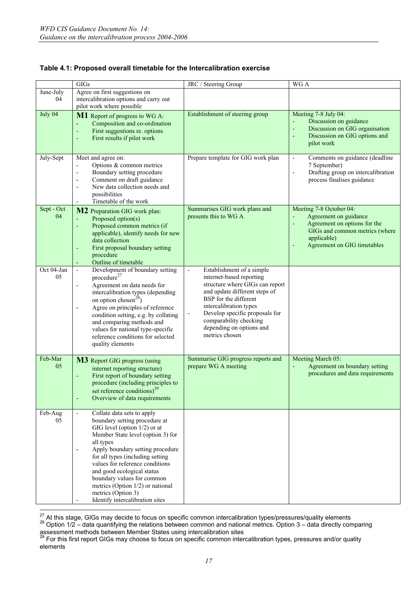|                  | <b>GIGs</b>                                                                                                                                                                                                                                                                                                                                                                                                                                                                          | JRC / Steering Group                                                                                                                                                                                                                                                                                                                 | $\overline{WG}A$                                                                                                                                                           |
|------------------|--------------------------------------------------------------------------------------------------------------------------------------------------------------------------------------------------------------------------------------------------------------------------------------------------------------------------------------------------------------------------------------------------------------------------------------------------------------------------------------|--------------------------------------------------------------------------------------------------------------------------------------------------------------------------------------------------------------------------------------------------------------------------------------------------------------------------------------|----------------------------------------------------------------------------------------------------------------------------------------------------------------------------|
| June-July        | Agree on first suggestions on                                                                                                                                                                                                                                                                                                                                                                                                                                                        |                                                                                                                                                                                                                                                                                                                                      |                                                                                                                                                                            |
| 04               | intercalibration options and carry out                                                                                                                                                                                                                                                                                                                                                                                                                                               |                                                                                                                                                                                                                                                                                                                                      |                                                                                                                                                                            |
|                  | pilot work where possible                                                                                                                                                                                                                                                                                                                                                                                                                                                            |                                                                                                                                                                                                                                                                                                                                      |                                                                                                                                                                            |
| July 04          | M1 Report of progress to WG A:<br>Composition and co-ordination<br>First suggestions re. options<br>÷<br>First results if pilot work<br>÷                                                                                                                                                                                                                                                                                                                                            | Establishment of steering group                                                                                                                                                                                                                                                                                                      | Meeting 7-8 July 04:<br>Discussion on guidance<br>Discussion on GIG organisation<br>÷,<br>Discussion on GIG options and<br>÷,<br>pilot work                                |
| July-Sept        | Meet and agree on:<br>Options & common metrics<br>$\overline{\phantom{a}}$<br>Boundary setting procedure<br>$\overline{\phantom{a}}$<br>Comment on draft guidance<br>$\overline{\phantom{a}}$<br>New data collection needs and<br>$\overline{a}$<br>possibilities<br>Timetable of the work<br>$\overline{a}$                                                                                                                                                                         | Prepare template for GIG work plan                                                                                                                                                                                                                                                                                                   | Comments on guidance (deadline<br>$\overline{\phantom{a}}$<br>7 September)<br>Drafting group on intercalibration<br>$\overline{\phantom{a}}$<br>process finalises guidance |
| Sept - Oct<br>04 | M2 Preparation GIG work plan:<br>Proposed option(s)<br>Proposed common metrics (if<br>÷<br>applicable), identify needs for new<br>data collection<br>First proposal boundary setting<br>٠<br>procedure<br>Outline of timetable                                                                                                                                                                                                                                                       | Summarises GIG work plans and<br>presents this to WG A                                                                                                                                                                                                                                                                               | Meeting 7-8 October 04:<br>Agreement on guidance<br>Ξ<br>Agreement on options for the<br>÷<br>GIGs and common metrics (where<br>applicable)<br>Agreement on GIG timetables |
| Oct 04-Jan<br>05 | Development of boundary setting<br>$\overline{\phantom{a}}$<br>procedure <sup>27</sup><br>Agreement on data needs for<br>$\overline{\phantom{a}}$<br>intercalibration types (depending<br>on option chosen <sup>28</sup> )<br>Agree on principles of reference<br>$\overline{\phantom{a}}$<br>condition setting, e.g. by collating<br>and comparing methods and<br>values for national type-specific<br>reference conditions for selected<br>quality elements                        | Establishment of a simple<br>$\blacksquare$<br>internet-based reporting<br>structure where GIGs can report<br>and update different steps of<br>BSP for the different<br>intercalibration types<br>Develop specific proposals for<br>$\overline{\phantom{a}}$<br>comparability checking<br>depending on options and<br>metrics chosen |                                                                                                                                                                            |
| Feb-Mar<br>05    | M3 Report GIG progress (using<br>internet reporting structure)<br>First report of boundary setting<br>L,<br>procedure (including principles to<br>set reference conditions) <sup>29</sup><br>Overview of data requirements<br>÷                                                                                                                                                                                                                                                      | Summarise GIG progress reports and<br>prepare WG A meeting                                                                                                                                                                                                                                                                           | Meeting March 05:<br>Agreement on boundary setting<br>÷,<br>procedures and data requirements                                                                               |
| Feb-Aug<br>05    | Collate data sets to apply<br>$\overline{\phantom{a}}$<br>boundary setting procedure at<br>GIG level (option $1/2$ ) or at<br>Member State level (option 3) for<br>all types<br>Apply boundary setting procedure<br>$\overline{\phantom{a}}$<br>for all types (including setting<br>values for reference conditions<br>and good ecological status<br>boundary values for common<br>metrics (Option $1/2$ ) or national<br>metrics (Option 3)<br>Identify intercalibration sites<br>- |                                                                                                                                                                                                                                                                                                                                      |                                                                                                                                                                            |

#### **Table 4.1: Proposed overall timetable for the Intercalibration exercise**

<sup>27</sup> At this stage, GIGs may decide to focus on specific common intercalibration types/pressures/quality elements<br><sup>28</sup> Option 1/2 – data quantifying the relations between common and national metrics. Option 3 – data direct

assessment methods between Member States using intercalibration sites<br><sup>29</sup> For this first report GIGs may choose to focus on specific common intercalibration types, pressures and/or quality elements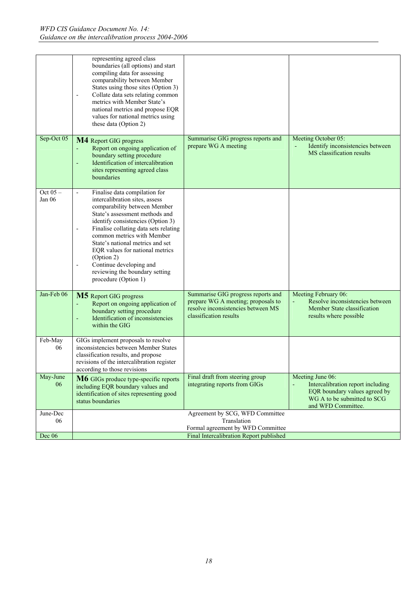|                      | representing agreed class<br>boundaries (all options) and start<br>compiling data for assessing<br>comparability between Member<br>States using those sites (Option 3)<br>Collate data sets relating common<br>$\overline{\phantom{m}}$<br>metrics with Member State's<br>national metrics and propose EQR<br>values for national metrics using<br>these data (Option 2)                                                                                                                          |                                                                                                                                          |                                                                                                                                             |
|----------------------|---------------------------------------------------------------------------------------------------------------------------------------------------------------------------------------------------------------------------------------------------------------------------------------------------------------------------------------------------------------------------------------------------------------------------------------------------------------------------------------------------|------------------------------------------------------------------------------------------------------------------------------------------|---------------------------------------------------------------------------------------------------------------------------------------------|
| Sep-Oct 05           | M4 Report GIG progress<br>Report on ongoing application of<br>boundary setting procedure<br>Identification of intercalibration<br>٠<br>sites representing agreed class<br>boundaries                                                                                                                                                                                                                                                                                                              | Summarise GIG progress reports and<br>prepare WG A meeting                                                                               | Meeting October 05:<br>Identify inconsistencies between<br>MS classification results                                                        |
| Oct $05 -$<br>Jan 06 | Finalise data compilation for<br>$\overline{\phantom{0}}$<br>intercalibration sites, assess<br>comparability between Member<br>State's assessment methods and<br>identify consistencies (Option 3)<br>Finalise collating data sets relating<br>$\overline{\phantom{a}}$<br>common metrics with Member<br>State's national metrics and set<br>EQR values for national metrics<br>(Option 2)<br>Continue developing and<br>$\overline{a}$<br>reviewing the boundary setting<br>procedure (Option 1) |                                                                                                                                          |                                                                                                                                             |
| Jan-Feb 06           | <b>M5</b> Report GIG progress<br>Report on ongoing application of<br>boundary setting procedure<br>Identification of inconsistencies<br>٠<br>within the GIG                                                                                                                                                                                                                                                                                                                                       | Summarise GIG progress reports and<br>prepare WG A meeting; proposals to<br>resolve inconsistencies between MS<br>classification results | Meeting February 06:<br>Resolve inconsistencies between<br>Member State classification<br>results where possible                            |
| Feb-May<br>06        | GIGs implement proposals to resolve<br>inconsistencies between Member States<br>classification results, and propose<br>revisions of the intercalibration register<br>according to those revisions                                                                                                                                                                                                                                                                                                 |                                                                                                                                          |                                                                                                                                             |
| May-June<br>06       | M6 GIGs produce type-specific reports<br>including EQR boundary values and<br>identification of sites representing good<br>status boundaries                                                                                                                                                                                                                                                                                                                                                      | Final draft from steering group<br>integrating reports from GIGs                                                                         | Meeting June 06:<br>Intercalibration report including<br>EQR boundary values agreed by<br>WG A to be submitted to SCG<br>and WFD Committee. |
| June-Dec             |                                                                                                                                                                                                                                                                                                                                                                                                                                                                                                   | Agreement by SCG, WFD Committee                                                                                                          |                                                                                                                                             |
| 06                   |                                                                                                                                                                                                                                                                                                                                                                                                                                                                                                   | Translation                                                                                                                              |                                                                                                                                             |
|                      |                                                                                                                                                                                                                                                                                                                                                                                                                                                                                                   | Formal agreement by WFD Committee                                                                                                        |                                                                                                                                             |
| Dec 06               |                                                                                                                                                                                                                                                                                                                                                                                                                                                                                                   | Final Intercalibration Report published                                                                                                  |                                                                                                                                             |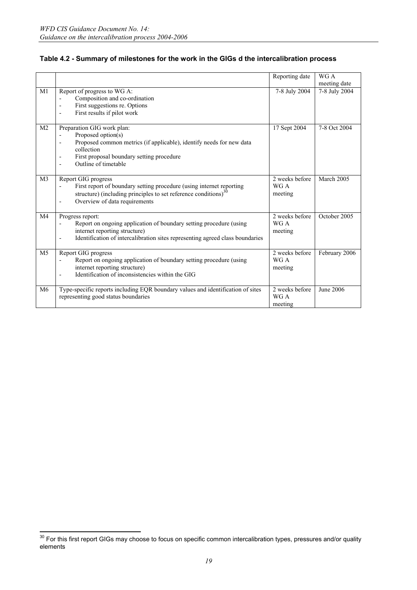|                |                                                                                                                                                                                                                                                                     | Reporting date                    | WG A<br>meeting date |
|----------------|---------------------------------------------------------------------------------------------------------------------------------------------------------------------------------------------------------------------------------------------------------------------|-----------------------------------|----------------------|
| M <sub>1</sub> | Report of progress to WG A:<br>Composition and co-ordination<br>First suggestions re. Options<br>$\overline{\phantom{a}}$<br>First results if pilot work<br>$\blacksquare$                                                                                          | 7-8 July 2004                     | $7-8$ July 2004      |
| M <sub>2</sub> | Preparation GIG work plan:<br>Proposed option(s)<br>$\overline{\phantom{a}}$<br>Proposed common metrics (if applicable), identify needs for new data<br>collection<br>First proposal boundary setting procedure<br>$\overline{\phantom{a}}$<br>Outline of timetable | 17 Sept 2004                      | 7-8 Oct 2004         |
| M <sub>3</sub> | Report GIG progress<br>First report of boundary setting procedure (using internet reporting<br>$\overline{\phantom{a}}$<br>structure) (including principles to set reference conditions) $30$<br>Overview of data requirements<br>$\overline{\phantom{a}}$          | 2 weeks before<br>WG A<br>meeting | March 2005           |
| M <sub>4</sub> | Progress report:<br>Report on ongoing application of boundary setting procedure (using<br>internet reporting structure)<br>Identification of intercalibration sites representing agreed class boundaries                                                            | 2 weeks before<br>WG A<br>meeting | October 2005         |
| M <sub>5</sub> | Report GIG progress<br>Report on ongoing application of boundary setting procedure (using<br>$\overline{\phantom{a}}$<br>internet reporting structure)<br>Identification of inconsistencies within the GIG                                                          | 2 weeks before<br>WG A<br>meeting | February 2006        |
| M6             | Type-specific reports including EQR boundary values and identification of sites<br>representing good status boundaries                                                                                                                                              | 2 weeks before<br>WG A<br>meeting | June 2006            |

#### **Table 4.2 - Summary of milestones for the work in the GIGs d the intercalibration process**

 $30$  For this first report GIGs may choose to focus on specific common intercalibration types, pressures and/or quality elements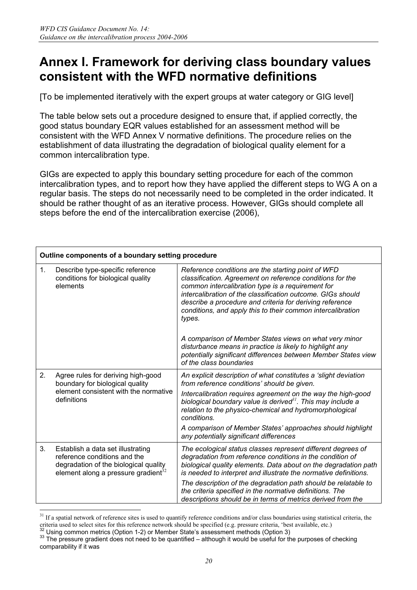### **Annex I. Framework for deriving class boundary values consistent with the WFD normative definitions**

[To be implemented iteratively with the expert groups at water category or GIG level]

The table below sets out a procedure designed to ensure that, if applied correctly, the good status boundary EQR values established for an assessment method will be consistent with the WFD Annex V normative definitions. The procedure relies on the establishment of data illustrating the degradation of biological quality element for a common intercalibration type.

GIGs are expected to apply this boundary setting procedure for each of the common intercalibration types, and to report how they have applied the different steps to WG A on a regular basis. The steps do not necessarily need to be completed in the order indicated. It should be rather thought of as an iterative process. However, GIGs should complete all steps before the end of the intercalibration exercise (2006),

| Outline components of a boundary setting procedure |                                                                                                                                                      |                                                                                                                                                                                                                                                                                                                                                                          |
|----------------------------------------------------|------------------------------------------------------------------------------------------------------------------------------------------------------|--------------------------------------------------------------------------------------------------------------------------------------------------------------------------------------------------------------------------------------------------------------------------------------------------------------------------------------------------------------------------|
| 1.                                                 | Describe type-specific reference<br>conditions for biological quality<br>elements                                                                    | Reference conditions are the starting point of WFD<br>classification. Agreement on reference conditions for the<br>common intercalibration type is a requirement for<br>intercalibration of the classification outcome. GIGs should<br>describe a procedure and criteria for deriving reference<br>conditions, and apply this to their common intercalibration<br>types. |
|                                                    |                                                                                                                                                      | A comparison of Member States views on what very minor<br>disturbance means in practice is likely to highlight any<br>potentially significant differences between Member States view<br>of the class boundaries                                                                                                                                                          |
| 2.                                                 | Agree rules for deriving high-good<br>boundary for biological quality<br>element consistent with the normative<br>definitions                        | An explicit description of what constitutes a 'slight deviation<br>from reference conditions' should be given.                                                                                                                                                                                                                                                           |
|                                                    |                                                                                                                                                      | Intercalibration requires agreement on the way the high-good<br>biological boundary value is derived <sup>31</sup> . This may include a<br>relation to the physico-chemical and hydromorphological<br>conditions.                                                                                                                                                        |
|                                                    |                                                                                                                                                      | A comparison of Member States' approaches should highlight<br>any potentially significant differences                                                                                                                                                                                                                                                                    |
| 3.                                                 | Establish a data set illustrating<br>reference conditions and the<br>degradation of the biological quality<br>element along a pressure gradient $32$ | The ecological status classes represent different degrees of<br>degradation from reference conditions in the condition of<br>biological quality elements. Data about on the degradation path<br>is needed to interpret and illustrate the normative definitions.                                                                                                         |
|                                                    |                                                                                                                                                      | The description of the degradation path should be relatable to<br>the criteria specified in the normative definitions. The<br>descriptions should be in terms of metrics derived from the                                                                                                                                                                                |
|                                                    |                                                                                                                                                      |                                                                                                                                                                                                                                                                                                                                                                          |

 $31$  If a spatial network of reference sites is used to quantify reference conditions and/or class boundaries using statistical criteria, the oriental used to select sites for this reference network should be specified (e.g. pressure criteria, 'best available, etc.)<br><sup>32</sup> Using common metrics (Option 1-2) or Member State's assessment methods (Option 3)<br><sup>33</sup> The p

comparability if it was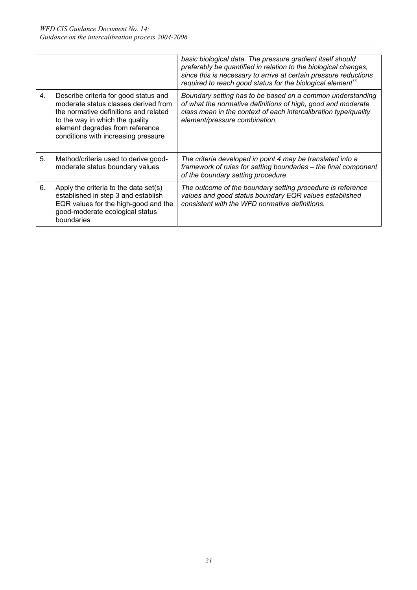|    |                                                                                                                                                                                                                                     | basic biological data. The pressure gradient itself should<br>preferably be quantified in relation to the biological changes,<br>since this is necessary to arrive at certain pressure reductions<br>required to reach good status for the biological element <sup>33</sup> |
|----|-------------------------------------------------------------------------------------------------------------------------------------------------------------------------------------------------------------------------------------|-----------------------------------------------------------------------------------------------------------------------------------------------------------------------------------------------------------------------------------------------------------------------------|
| 4. | Describe criteria for good status and<br>moderate status classes derived from<br>the normative definitions and related<br>to the way in which the quality<br>element degrades from reference<br>conditions with increasing pressure | Boundary setting has to be based on a common understanding<br>of what the normative definitions of high, good and moderate<br>class mean in the context of each intercalibration type/quality<br>element/pressure combination.                                              |
| 5. | Method/criteria used to derive good-<br>moderate status boundary values                                                                                                                                                             | The criteria developed in point 4 may be translated into a<br>framework of rules for setting boundaries - the final component<br>of the boundary setting procedure                                                                                                          |
| 6. | Apply the criteria to the data set(s)<br>established in step 3 and establish<br>EQR values for the high-good and the<br>good-moderate ecological status<br>boundaries                                                               | The outcome of the boundary setting procedure is reference<br>values and good status boundary EQR values established<br>consistent with the WFD normative definitions.                                                                                                      |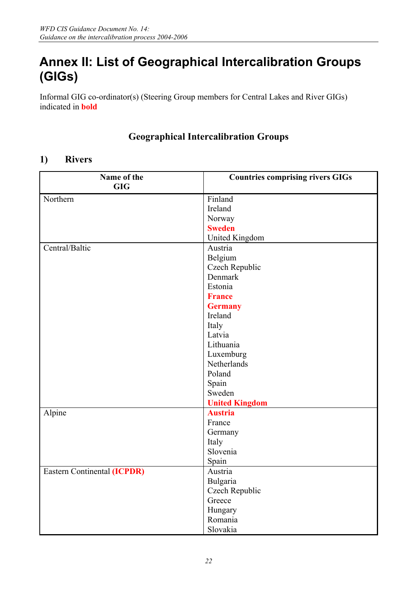## **Annex II: List of Geographical Intercalibration Groups (GIGs)**

Informal GIG co-ordinator(s) (Steering Group members for Central Lakes and River GIGs) indicated in **bold**

### **Geographical Intercalibration Groups**

#### **1) Rivers**

| Name of the                        | <b>Countries comprising rivers GIGs</b> |
|------------------------------------|-----------------------------------------|
| <b>GIG</b>                         |                                         |
| Northern                           | Finland                                 |
|                                    | Ireland                                 |
|                                    | Norway                                  |
|                                    | <b>Sweden</b>                           |
|                                    | United Kingdom                          |
| Central/Baltic                     | Austria                                 |
|                                    | Belgium                                 |
|                                    | Czech Republic                          |
|                                    | Denmark                                 |
|                                    | Estonia                                 |
|                                    | <b>France</b>                           |
|                                    | <b>Germany</b>                          |
|                                    | Ireland                                 |
|                                    | Italy                                   |
|                                    | Latvia                                  |
|                                    | Lithuania                               |
|                                    | Luxemburg                               |
|                                    | Netherlands                             |
|                                    | Poland                                  |
|                                    | Spain                                   |
|                                    | Sweden                                  |
|                                    | <b>United Kingdom</b>                   |
| Alpine                             | <b>Austria</b>                          |
|                                    | France                                  |
|                                    | Germany                                 |
|                                    | Italy                                   |
|                                    | Slovenia                                |
|                                    | Spain                                   |
| <b>Eastern Continental (ICPDR)</b> | Austria                                 |
|                                    | Bulgaria                                |
|                                    | Czech Republic                          |
|                                    | Greece                                  |
|                                    | Hungary                                 |
|                                    | Romania                                 |
|                                    | Slovakia                                |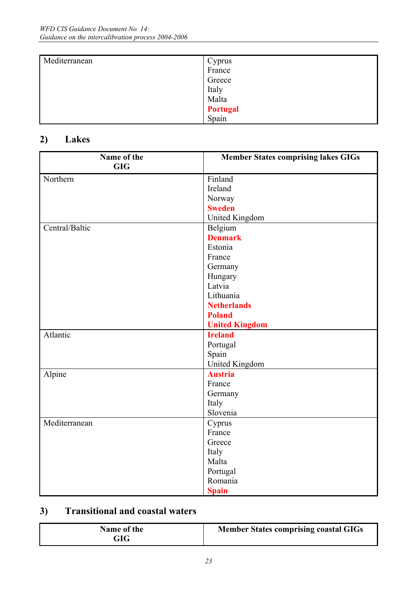| Mediterranean | Cyprus          |  |
|---------------|-----------------|--|
|               | France          |  |
|               | Greece          |  |
|               | Italy           |  |
|               | Malta           |  |
|               | <b>Portugal</b> |  |
|               | Spain           |  |

### **2) Lakes**

| Name of the    | <b>Member States comprising lakes GIGs</b> |
|----------------|--------------------------------------------|
| <b>GIG</b>     |                                            |
| Northern       | Finland                                    |
|                | Ireland                                    |
|                | Norway                                     |
|                | <b>Sweden</b>                              |
|                | United Kingdom                             |
| Central/Baltic | Belgium                                    |
|                | <b>Denmark</b>                             |
|                | Estonia                                    |
|                | France                                     |
|                | Germany                                    |
|                | Hungary                                    |
|                | Latvia                                     |
|                | Lithuania                                  |
|                | <b>Netherlands</b>                         |
|                | <b>Poland</b>                              |
|                | <b>United Kingdom</b>                      |
| Atlantic       | <b>Ireland</b>                             |
|                | Portugal                                   |
|                | Spain                                      |
|                | United Kingdom                             |
| Alpine         | <b>Austria</b>                             |
|                | France                                     |
|                | Germany                                    |
|                | Italy                                      |
|                | Slovenia                                   |
| Mediterranean  | Cyprus                                     |
|                | France                                     |
|                | Greece                                     |
|                | Italy                                      |
|                | Malta                                      |
|                | Portugal                                   |
|                | Romania                                    |
|                | <b>Spain</b>                               |

### **3) Transitional and coastal waters**

| Name of the<br>GIG | <b>Member States comprising coastal GIGs</b> |
|--------------------|----------------------------------------------|
|--------------------|----------------------------------------------|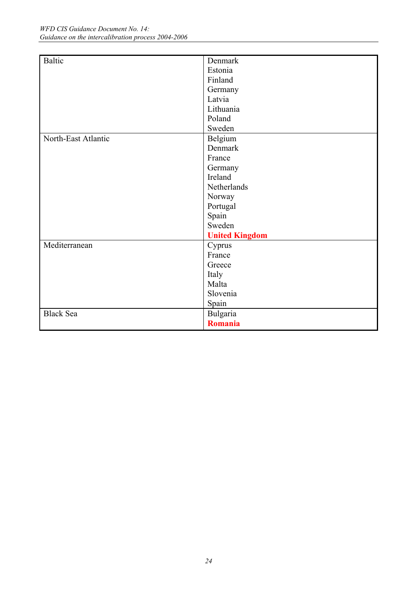| <b>Baltic</b>       | Denmark               |
|---------------------|-----------------------|
|                     | Estonia               |
|                     |                       |
|                     | Finland               |
|                     | Germany               |
|                     | Latvia                |
|                     | Lithuania             |
|                     | Poland                |
|                     | Sweden                |
| North-East Atlantic | Belgium               |
|                     | Denmark               |
|                     | France                |
|                     | Germany               |
|                     | Ireland               |
|                     | Netherlands           |
|                     | Norway                |
|                     | Portugal              |
|                     | Spain                 |
|                     | Sweden                |
|                     | <b>United Kingdom</b> |
| Mediterranean       | Cyprus                |
|                     | France                |
|                     | Greece                |
|                     | Italy                 |
|                     | Malta                 |
|                     | Slovenia              |
|                     | Spain                 |
| <b>Black Sea</b>    | Bulgaria              |
|                     | <b>Romania</b>        |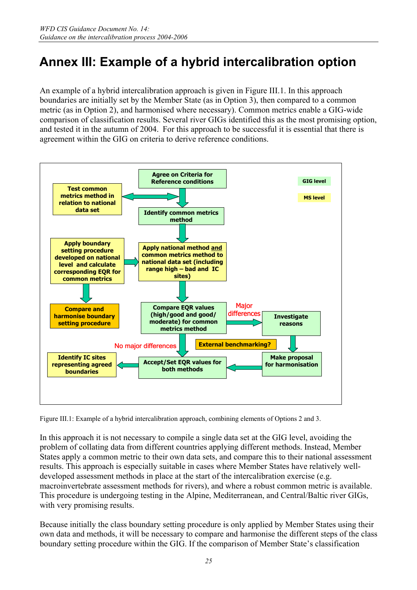## **Annex III: Example of a hybrid intercalibration option**

An example of a hybrid intercalibration approach is given in Figure III.1. In this approach boundaries are initially set by the Member State (as in Option 3), then compared to a common metric (as in Option 2), and harmonised where necessary). Common metrics enable a GIG-wide comparison of classification results. Several river GIGs identified this as the most promising option, and tested it in the autumn of 2004. For this approach to be successful it is essential that there is agreement within the GIG on criteria to derive reference conditions.



Figure III.1: Example of a hybrid intercalibration approach, combining elements of Options 2 and 3.

In this approach it is not necessary to compile a single data set at the GIG level, avoiding the problem of collating data from different countries applying different methods. Instead, Member States apply a common metric to their own data sets, and compare this to their national assessment results. This approach is especially suitable in cases where Member States have relatively welldeveloped assessment methods in place at the start of the intercalibration exercise (e.g. macroinvertebrate assessment methods for rivers), and where a robust common metric is available. This procedure is undergoing testing in the Alpine, Mediterranean, and Central/Baltic river GIGs, with very promising results.

Because initially the class boundary setting procedure is only applied by Member States using their own data and methods, it will be necessary to compare and harmonise the different steps of the class boundary setting procedure within the GIG. If the comparison of Member State's classification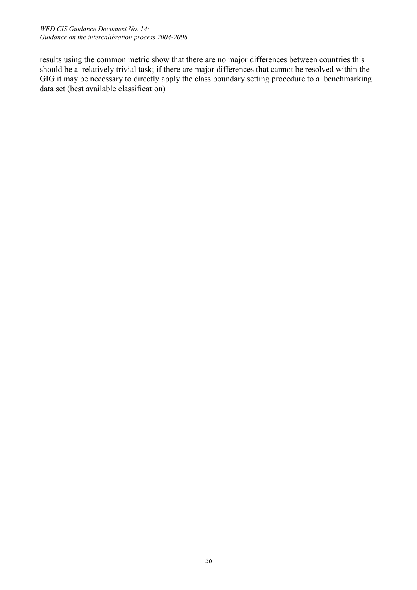results using the common metric show that there are no major differences between countries this should be a relatively trivial task; if there are major differences that cannot be resolved within the GIG it may be necessary to directly apply the class boundary setting procedure to a benchmarking data set (best available classification)